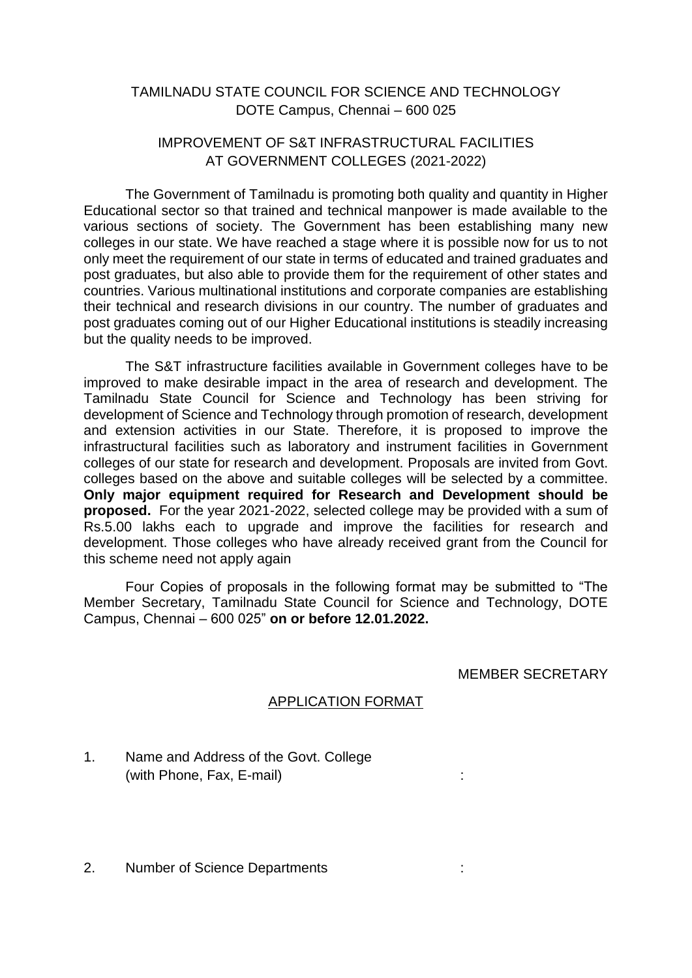## TAMILNADU STATE COUNCIL FOR SCIENCE AND TECHNOLOGY DOTE Campus, Chennai – 600 025

## IMPROVEMENT OF S&T INFRASTRUCTURAL FACILITIES AT GOVERNMENT COLLEGES (2021-2022)

The Government of Tamilnadu is promoting both quality and quantity in Higher Educational sector so that trained and technical manpower is made available to the various sections of society. The Government has been establishing many new colleges in our state. We have reached a stage where it is possible now for us to not only meet the requirement of our state in terms of educated and trained graduates and post graduates, but also able to provide them for the requirement of other states and countries. Various multinational institutions and corporate companies are establishing their technical and research divisions in our country. The number of graduates and post graduates coming out of our Higher Educational institutions is steadily increasing but the quality needs to be improved.

The S&T infrastructure facilities available in Government colleges have to be improved to make desirable impact in the area of research and development. The Tamilnadu State Council for Science and Technology has been striving for development of Science and Technology through promotion of research, development and extension activities in our State. Therefore, it is proposed to improve the infrastructural facilities such as laboratory and instrument facilities in Government colleges of our state for research and development. Proposals are invited from Govt. colleges based on the above and suitable colleges will be selected by a committee. **Only major equipment required for Research and Development should be proposed.** For the year 2021-2022, selected college may be provided with a sum of Rs.5.00 lakhs each to upgrade and improve the facilities for research and development. Those colleges who have already received grant from the Council for this scheme need not apply again

Four Copies of proposals in the following format may be submitted to "The Member Secretary, Tamilnadu State Council for Science and Technology, DOTE Campus, Chennai – 600 025" **on or before 12.01.2022.**

MEMBER SECRETARY

## APPLICATION FORMAT

- 1. Name and Address of the Govt. College (with Phone, Fax, E-mail) :
- 2. Number of Science Departments :